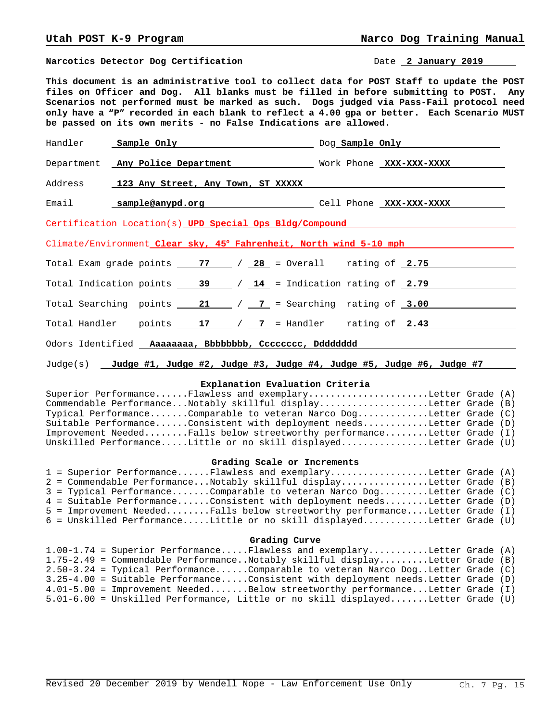**Narcotics Detector Dog Certification Date 2 January 2019** 

**This document is an administrative tool to collect data for POST Staff to update the POST files on Officer and Dog. All blanks must be filled in before submitting to POST. Any Scenarios not performed must be marked as such. Dogs judged via Pass-Fail protocol need only have a "P" recorded in each blank to reflect a 4.00 gpa or better. Each Scenario MUST be passed on its own merits - no False Indications are allowed.**

| Handler <b>Sample Only Communicate Constant Communicate Constant Constant Constant Constant Constant Constant Constant Constant Constant Constant Constant Constant Constant Constant Constant Constant Constant Constant Cons</b> |  |
|------------------------------------------------------------------------------------------------------------------------------------------------------------------------------------------------------------------------------------|--|
| Department Any Police Department Mork Phone XXX-XXX-XXXX                                                                                                                                                                           |  |
| Address 123 Any Street, Any Town, ST XXXXX                                                                                                                                                                                         |  |
| Email <b>sample@anypd.org</b> Cell Phone XXX-XXXX                                                                                                                                                                                  |  |
| Certification Location(s) UPD Special Ops Bldg/Compound                                                                                                                                                                            |  |
| Climate/Environment_Clear sky, 45° Fahrenheit, North wind 5-10 mph                                                                                                                                                                 |  |
| Total Exam grade points $\begin{array}{c c} 77 & / & 28 = 0 \text{veral} \\ \end{array}$ rating of $\begin{array}{c} 2.75 & \text{real} \\ \end{array}$                                                                            |  |
| Total Indication points $\frac{39}{14}$ / $\frac{14}{14}$ = Indication rating of 2.79                                                                                                                                              |  |
| Total Searching points $\frac{21}{\sqrt{7}}$ / $\frac{7}{\sqrt{7}}$ = Searching rating of 3.00                                                                                                                                     |  |
| Total Handler points $\begin{array}{ c c c c c c }\n\hline\n12 & 7 & 7 & = \text{Handler} & \text{rating of } \underline{2.43} & \hline\n\end{array}$                                                                              |  |
| Odors Identified _ Aaaaaaaa, Bbbbbbbb, Cccccccc, Dddddddd                                                                                                                                                                          |  |

Judge(s) **Judge #1, Judge #2, Judge #3, Judge #4, Judge #5, Judge #6, Judge #7** 

#### **Explanation Evaluation Criteria**

| Superior PerformanceFlawless and exemplaryLetter Grade (A)             |  |
|------------------------------------------------------------------------|--|
| Commendable PerformanceNotably skillful displayLetter Grade (B)        |  |
| Typical PerformanceComparable to veteran Narco DogLetter Grade (C)     |  |
| Suitable PerformanceConsistent with deployment needsLetter Grade (D)   |  |
| Improvement NeededFalls below streetworthy performanceLetter Grade (I) |  |
| Unskilled PerformanceLittle or no skill displayedLetter Grade (U)      |  |

# **Grading Scale or Increments**

|  | 1 = Superior PerformanceFlawless and exemplaryLetter Grade (A)             |  |
|--|----------------------------------------------------------------------------|--|
|  | 2 = Commendable PerformanceNotably skillful displayLetter Grade (B)        |  |
|  | $3$ = Typical PerformanceComparable to veteran Narco DogLetter Grade (C)   |  |
|  | 4 = Suitable PerformanceConsistent with deployment needsLetter Grade (D)   |  |
|  | 5 = Improvement NeededFalls below streetworthy performanceLetter Grade (I) |  |
|  | 6 = Unskilled PerformanceLittle or no skill displayedLetter Grade (U)      |  |

## **Grading Curve**

|  | $1.00-1.74$ = Superior PerformanceFlawless and exemplaryLetter Grade (A)             |  |
|--|--------------------------------------------------------------------------------------|--|
|  | 1.75-2.49 = Commendable PerformanceNotably skillful displayLetter Grade (B)          |  |
|  | $2.50-3.24$ = Typical PerformanceComparable to veteran Narco DogLetter Grade (C)     |  |
|  | $3.25-4.00$ = Suitable PerformanceConsistent with deployment needs. Letter Grade (D) |  |
|  | 4.01-5.00 = Improvement NeededBelow streetworthy performanceLetter Grade (I)         |  |
|  | $5.01-6.00$ = Unskilled Performance, Little or no skill displayedLetter Grade (U)    |  |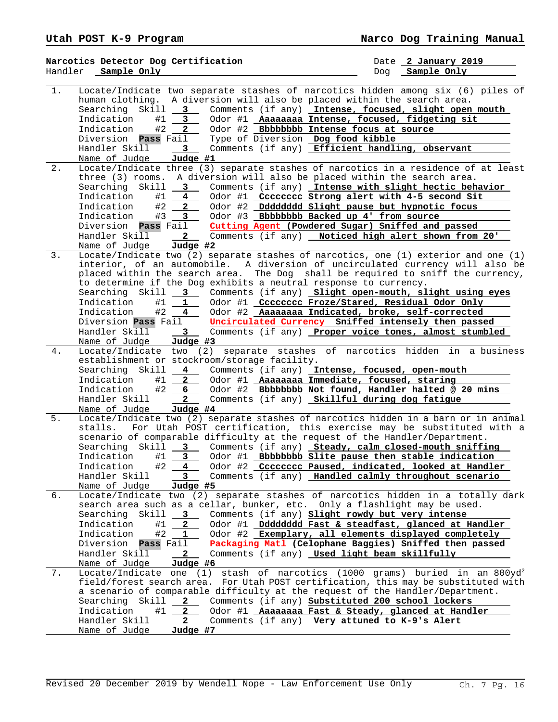|       | Narcotics Detector Dog Certification                                          |                                                                                                             | Date 2 January 2019                                                                                                                                                            |
|-------|-------------------------------------------------------------------------------|-------------------------------------------------------------------------------------------------------------|--------------------------------------------------------------------------------------------------------------------------------------------------------------------------------|
|       | Handler Sample Only                                                           |                                                                                                             | Sample Only<br>Dog                                                                                                                                                             |
| $1$ . | human clothing.<br>Skill<br>$3^{\circ}$<br>Searching<br>Indication<br>#1<br>3 | A diversion will also be placed within the search area.<br>Odor #1 Aaaaaaaa Intense, focused, fidgeting sit | Locate/Indicate two separate stashes of narcotics hidden among six (6) piles of<br>Comments (if any) Intense, focused, slight open mouth                                       |
|       | Indication<br>#2<br>$\mathbf{2}$                                              | Odor #2 Bbbbbbbb Intense focus at source                                                                    |                                                                                                                                                                                |
|       | Diversion <b>Pass</b> Fail                                                    | Type of Diversion Dog food kibble                                                                           |                                                                                                                                                                                |
|       | Handler Skill<br>3                                                            | Comments (if any) Efficient handling, observant                                                             |                                                                                                                                                                                |
|       | Judge #1<br>Name of Judge                                                     |                                                                                                             |                                                                                                                                                                                |
| 2.    | three (3) rooms.                                                              | A diversion will also be placed within the search area.                                                     | Locate/Indicate three (3) separate stashes of narcotics in a residence of at least                                                                                             |
|       | Searching Skill<br>$3^{\circ}$                                                |                                                                                                             | Comments (if any) Intense with slight hectic behavior                                                                                                                          |
|       | #1<br>$\overline{\mathbf{4}}$<br>Indication                                   | Odor #1 Cccccccc Strong alert with 4-5 second Sit                                                           |                                                                                                                                                                                |
|       | Indication<br>#2<br>2                                                         | Odor #2 Dddddddd Slight pause but hypnotic focus                                                            |                                                                                                                                                                                |
|       | Indication<br>#3<br>3                                                         | Odor #3 Bbbbbbbb Backed up 4' from source                                                                   |                                                                                                                                                                                |
|       | Diversion <b>Pass</b> Fail                                                    | Cutting Agent (Powdered Sugar) Sniffed and passed                                                           |                                                                                                                                                                                |
|       | Handler Skill<br>$\mathbf{2}$                                                 | Comments (if any) Noticed high alert shown from 20'                                                         |                                                                                                                                                                                |
|       | Judge #2<br>Name of Judge                                                     |                                                                                                             |                                                                                                                                                                                |
| 3.    |                                                                               |                                                                                                             | Locate/Indicate two (2) separate stashes of narcotics, one (1) exterior and one (1)<br>interior, of an automobile. A diversion of uncirculated currency will also be           |
|       |                                                                               |                                                                                                             | placed within the search area. The Dog shall be required to sniff the currency,                                                                                                |
|       |                                                                               | to determine if the Dog exhibits a neutral response to currency.                                            |                                                                                                                                                                                |
|       | Searching Skill _<br>3<br>$\mathbb{R}^n$                                      |                                                                                                             | Comments (if any) Slight open-mouth, slight using eyes                                                                                                                         |
|       | Indication<br>#1<br>1                                                         | Odor #1 Cccccccc Froze/Stared, Residual Odor Only                                                           |                                                                                                                                                                                |
|       | Indication<br>#2<br>4                                                         | Odor #2 Aaaaaaaa Indicated, broke, self-corrected                                                           |                                                                                                                                                                                |
|       | Diversion Pass Fail                                                           | Uncirculated Currency Sniffed intensely then passed                                                         |                                                                                                                                                                                |
|       | Handler Skill<br>3                                                            |                                                                                                             | Comments (if any) Proper voice tones, almost stumbled                                                                                                                          |
| 4.    | Name of Judge<br>$Judge$ #3                                                   |                                                                                                             | separate stashes of narcotics hidden in a business                                                                                                                             |
|       | Locate/Indicate two (2)<br>establishment or stockroom/storage facility.       |                                                                                                             |                                                                                                                                                                                |
|       | Searching Skill                                                               | 4 Comments (if any) Intense, focused, open-mouth                                                            |                                                                                                                                                                                |
|       | Indication<br>#1<br>2                                                         | Odor #1 Aaaaaaaa Immediate, focused, staring                                                                |                                                                                                                                                                                |
|       | #2<br>Indication<br>6                                                         |                                                                                                             | Odor #2 Bbbbbbbb Not found, Handler halted @ 20 mins                                                                                                                           |
|       | Handler Skill<br>$\overline{2}$<br>Name of Judge<br>Judge #4                  | Comments (if any) Skillful during dog fatigue                                                               |                                                                                                                                                                                |
| 5.    |                                                                               |                                                                                                             | Locate/Indicate two (2) separate stashes of narcotics hidden in a barn or in animal                                                                                            |
|       | stalls.                                                                       |                                                                                                             | For Utah POST certification, this exercise may be substituted with a                                                                                                           |
|       |                                                                               | scenario of comparable difficulty at the request of the Handler/Department.                                 |                                                                                                                                                                                |
|       |                                                                               |                                                                                                             | Searching Skill 3 Comments (if any) Steady, calm closed-mouth sniffing                                                                                                         |
|       | Indication<br>#1<br>3                                                         | Odor #1 Bbbbbbbb Slite pause then stable indication                                                         |                                                                                                                                                                                |
|       | Indication<br>#2<br>4                                                         |                                                                                                             | Odor #2 Cccccccc Paused, indicated, looked at Handler                                                                                                                          |
|       | Handler Skill<br>3<br>Name of Judge                                           |                                                                                                             | Comments (if any) Handled calmly throughout scenario                                                                                                                           |
| б.    | Judge #5                                                                      |                                                                                                             | Locate/Indicate two (2) separate stashes of narcotics hidden in a totally dark                                                                                                 |
|       |                                                                               | search area such as a cellar, bunker, etc. Only a flashlight may be used.                                   |                                                                                                                                                                                |
|       | Skill 3<br>Searching                                                          | Comments (if any) Slight rowdy but very intense                                                             |                                                                                                                                                                                |
|       | Indication<br>#1<br>$\mathbf{2}$                                              |                                                                                                             | Odor #1 _Dddddddd Fast & steadfast, glanced at Handler                                                                                                                         |
|       | Indication<br>#2<br>1                                                         |                                                                                                             | Odor #2 Exemplary, all elements displayed completely                                                                                                                           |
|       | Diversion Pass Fail                                                           |                                                                                                             | Packaging Matl (Celophane Baggies) Sniffed then passed                                                                                                                         |
|       | Handler Skill<br>$\mathbf{2}$                                                 | Comments (if any) Used light beam skillfully                                                                |                                                                                                                                                                                |
|       | Name of Judge<br>Judge #6                                                     |                                                                                                             |                                                                                                                                                                                |
| 7.    |                                                                               |                                                                                                             | Locate/Indicate one (1) stash of narcotics (1000 grams) buried in an 800yd <sup>2</sup><br>field/forest search area. For Utah POST certification, this may be substituted with |
|       |                                                                               | a scenario of comparable difficulty at the request of the Handler/Department.                               |                                                                                                                                                                                |
|       | Searching<br>Skill __                                                         | 2 Comments (if any) Substituted 200 school lockers                                                          |                                                                                                                                                                                |
|       | Indication<br>#1<br>$2^{\circ}$                                               | Odor #1 Aaaaaaaa Fast & Steady, glanced at Handler                                                          |                                                                                                                                                                                |
|       | Handler Skill<br>$\mathbf{2}$                                                 | Comments (if any) Very attuned to K-9's Alert                                                               |                                                                                                                                                                                |
|       | Name of Judge<br><u>Judge #7</u>                                              |                                                                                                             |                                                                                                                                                                                |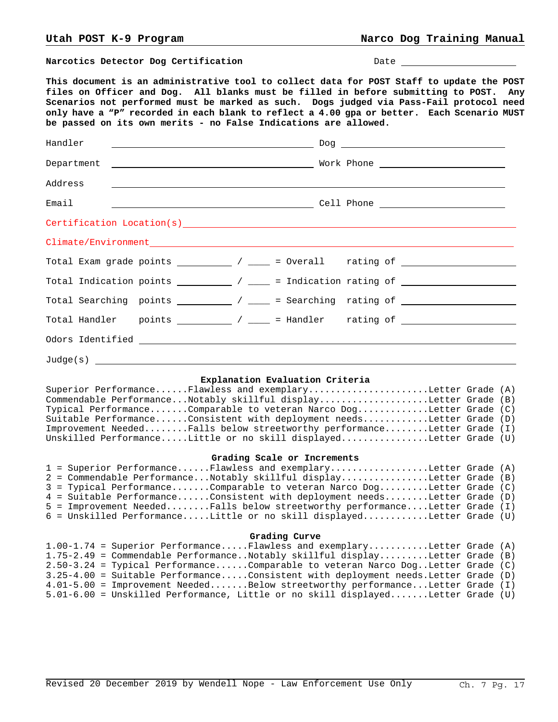**Narcotics Detector Dog Certification**  $D = D$  Date

**This document is an administrative tool to collect data for POST Staff to update the POST files on Officer and Dog. All blanks must be filled in before submitting to POST. Any Scenarios not performed must be marked as such. Dogs judged via Pass-Fail protocol need only have a "P" recorded in each blank to reflect a 4.00 gpa or better. Each Scenario MUST be passed on its own merits - no False Indications are allowed.**

| Handler                                                                                                                                                                                                                                                                                                                                                                                                                                                                                                                                                                                                                                            |  |
|----------------------------------------------------------------------------------------------------------------------------------------------------------------------------------------------------------------------------------------------------------------------------------------------------------------------------------------------------------------------------------------------------------------------------------------------------------------------------------------------------------------------------------------------------------------------------------------------------------------------------------------------------|--|
|                                                                                                                                                                                                                                                                                                                                                                                                                                                                                                                                                                                                                                                    |  |
| Address<br><u> 1980 - Jan Samuel Barbara, martin a shekara tsara 1980 a shekara tsara 1980 a shekara tsara 1980 a shekara 1</u>                                                                                                                                                                                                                                                                                                                                                                                                                                                                                                                    |  |
| Email                                                                                                                                                                                                                                                                                                                                                                                                                                                                                                                                                                                                                                              |  |
|                                                                                                                                                                                                                                                                                                                                                                                                                                                                                                                                                                                                                                                    |  |
|                                                                                                                                                                                                                                                                                                                                                                                                                                                                                                                                                                                                                                                    |  |
| Total Exam grade points $\begin{array}{c} \begin{array}{c} \end{array}$ / $\begin{array}{c} \end{array}$ = 0verall rating of $\begin{array}{c} \end{array}$                                                                                                                                                                                                                                                                                                                                                                                                                                                                                        |  |
|                                                                                                                                                                                                                                                                                                                                                                                                                                                                                                                                                                                                                                                    |  |
| Total Searching points $\frac{1}{\sqrt{1-\frac{1}{\sqrt{1-\frac{1}{\sqrt{1-\frac{1}{\sqrt{1-\frac{1}{\sqrt{1-\frac{1}{\sqrt{1-\frac{1}{\sqrt{1-\frac{1}{\sqrt{1-\frac{1}{\sqrt{1-\frac{1}{\sqrt{1-\frac{1}{\sqrt{1-\frac{1}{\sqrt{1-\frac{1}{\sqrt{1-\frac{1}{\sqrt{1-\frac{1}{\sqrt{1-\frac{1}{\sqrt{1-\frac{1}{\sqrt{1-\frac{1}{\sqrt{1-\frac{1}{\sqrt{1-\frac{1}{\sqrt{1-\frac{1}{\sqrt{1-\frac{1}{\sqrt{$                                                                                                                                                                                                                                      |  |
| Total Handler points ____________ / _____ = Handler rating of __________________                                                                                                                                                                                                                                                                                                                                                                                                                                                                                                                                                                   |  |
|                                                                                                                                                                                                                                                                                                                                                                                                                                                                                                                                                                                                                                                    |  |
| $\texttt{Judge(s)} \quad \textcolor{red}{\overbrace{\text{Judge(s)}} \quad \textcolor{red}{\overbrace{\text{Judge(s)}} \quad \textcolor{blue}{\overbrace{\text{Judge(s)}}}} \quad \textcolor{red}{\overbrace{\text{Judge(s)}} \quad \textcolor{blue}{\overbrace{\text{Jangle(s)}} \quad \textcolor{blue}{\overbrace{\text{Jangle(s)}} \quad \textcolor{blue}{\overbrace{\text{Jangle(s)}} \quad \textcolor{blue}{\overbrace{\text{Jangle(s)}} \quad \textcolor{blue}{\overbrace{\text{Jangle(s)}} \quad \textcolor{blue}{\overbrace{\text{Jangle(s)}} \quad \textcolor{blue}{\overbrace{\text{Jangle(s)}} \quad \textcolor{blue}{\overbrace{\text$ |  |

## **Explanation Evaluation Criteria**

Superior Performance......Flawless and exemplary......................Letter Grade (A) Commendable Performance...Notably skillful display.....................Letter Grade (B) Typical Performance.......Comparable to veteran Narco Dog.............Letter Grade (C) Suitable Performance......Consistent with deployment needs............Letter Grade (D) Improvement Needed........Falls below streetworthy performance........Letter Grade (I) Unskilled Performance.....Little or no skill displayed................Letter Grade (U)

#### **Grading Scale or Increments**

|  | 1 = Superior PerformanceFlawless and exemplaryLetter Grade (A)               |  |
|--|------------------------------------------------------------------------------|--|
|  | 2 = Commendable PerformanceNotably skillful displayLetter Grade (B)          |  |
|  | $3$ = Typical PerformanceComparable to veteran Narco DogLetter Grade (C)     |  |
|  | 4 = Suitable PerformanceConsistent with deployment needsLetter Grade (D)     |  |
|  | $5$ = Improvement NeededFalls below streetworthy performanceLetter Grade (I) |  |
|  | 6 = Unskilled PerformanceLittle or no skill displayedLetter Grade (U)        |  |

## **Grading Curve**

|  | $1.00-1.74$ = Superior PerformanceFlawless and exemplaryLetter Grade (A)             |  |
|--|--------------------------------------------------------------------------------------|--|
|  | 1.75-2.49 = Commendable PerformanceNotably skillful displayLetter Grade (B)          |  |
|  | $2.50-3.24$ = Typical PerformanceComparable to veteran Narco DogLetter Grade (C)     |  |
|  | $3.25-4.00$ = Suitable PerformanceConsistent with deployment needs. Letter Grade (D) |  |
|  | 4.01-5.00 = Improvement NeededBelow streetworthy performanceLetter Grade (I)         |  |
|  | 5.01-6.00 = Unskilled Performance, Little or no skill displayedLetter Grade (U)      |  |